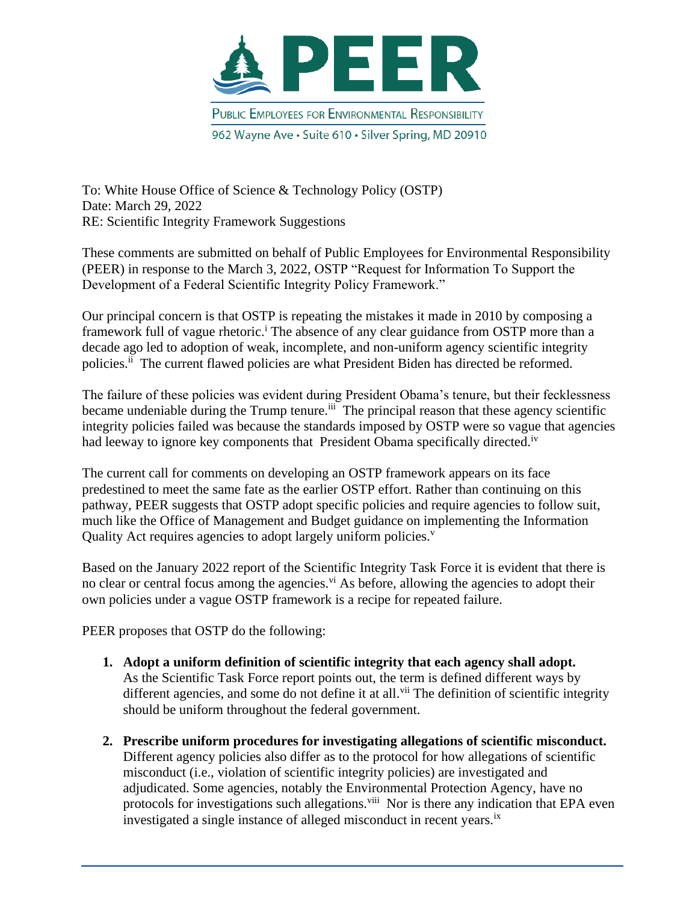

To: White House Office of Science & Technology Policy (OSTP) Date: March 29, 2022 RE: Scientific Integrity Framework Suggestions

These comments are submitted on behalf of Public Employees for Environmental Responsibility (PEER) in response to the March 3, 2022, OSTP "Request for Information To Support the Development of a Federal Scientific Integrity Policy Framework."

Our principal concern is that OSTP is repeating the mistakes it made in 2010 by composing a framework full of vague rhetoric.<sup>i</sup> The absence of any clear guidance from OSTP more than a decade ago led to adoption of weak, incomplete, and non-uniform agency scientific integrity policies.<sup>ii</sup> The current flawed policies are what President Biden has directed be reformed.

The failure of these policies was evident during President Obama's tenure, but their fecklessness became undeniable during the Trump tenure.<sup>iii</sup> The principal reason that these agency scientific integrity policies failed was because the standards imposed by OSTP were so vague that agencies had leeway to ignore key components that President Obama specifically directed.<sup>iv</sup>

The current call for comments on developing an OSTP framework appears on its face predestined to meet the same fate as the earlier OSTP effort. Rather than continuing on this pathway, PEER suggests that OSTP adopt specific policies and require agencies to follow suit, much like the Office of Management and Budget guidance on implementing the Information Quality Act requires agencies to adopt largely uniform policies.<sup>v</sup>

Based on the January 2022 report of the Scientific Integrity Task Force it is evident that there is no clear or central focus among the agencies.<sup>vi</sup> As before, allowing the agencies to adopt their own policies under a vague OSTP framework is a recipe for repeated failure.

PEER proposes that OSTP do the following:

- **1. Adopt a uniform definition of scientific integrity that each agency shall adopt.**  As the Scientific Task Force report points out, the term is defined different ways by different agencies, and some do not define it at all.<sup>vii</sup> The definition of scientific integrity should be uniform throughout the federal government.
- **2. Prescribe uniform procedures for investigating allegations of scientific misconduct.** Different agency policies also differ as to the protocol for how allegations of scientific misconduct (i.e., violation of scientific integrity policies) are investigated and adjudicated. Some agencies, notably the Environmental Protection Agency, have no protocols for investigations such allegations.<sup>viii</sup> Nor is there any indication that EPA even investigated a single instance of alleged misconduct in recent years.<sup>ix</sup>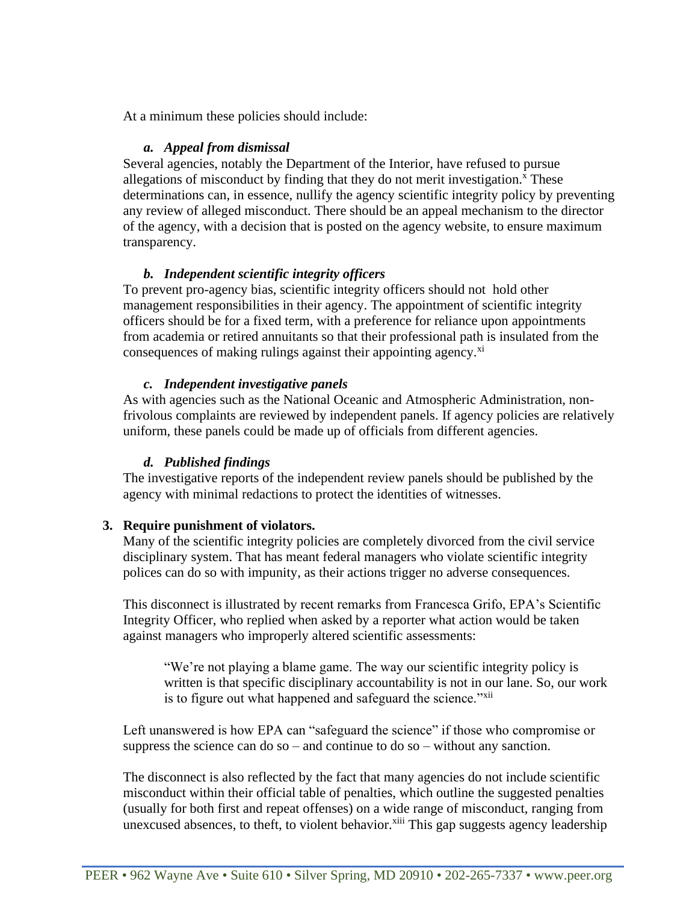At a minimum these policies should include:

### *a. Appeal from dismissal*

Several agencies, notably the Department of the Interior, have refused to pursue allegations of misconduct by finding that they do not merit investigation.<sup> $x$ </sup> These determinations can, in essence, nullify the agency scientific integrity policy by preventing any review of alleged misconduct. There should be an appeal mechanism to the director of the agency, with a decision that is posted on the agency website, to ensure maximum transparency.

# *b. Independent scientific integrity officers*

To prevent pro-agency bias, scientific integrity officers should not hold other management responsibilities in their agency. The appointment of scientific integrity officers should be for a fixed term, with a preference for reliance upon appointments from academia or retired annuitants so that their professional path is insulated from the consequences of making rulings against their appointing agency.<sup>xi</sup>

## *c. Independent investigative panels*

As with agencies such as the National Oceanic and Atmospheric Administration, nonfrivolous complaints are reviewed by independent panels. If agency policies are relatively uniform, these panels could be made up of officials from different agencies.

# *d. Published findings*

The investigative reports of the independent review panels should be published by the agency with minimal redactions to protect the identities of witnesses.

## **3. Require punishment of violators.**

Many of the scientific integrity policies are completely divorced from the civil service disciplinary system. That has meant federal managers who violate scientific integrity polices can do so with impunity, as their actions trigger no adverse consequences.

This disconnect is illustrated by recent remarks from Francesca Grifo, EPA's Scientific Integrity Officer, who replied when asked by a reporter what action would be taken against managers who improperly altered scientific assessments:

"We're not playing a blame game. The way our scientific integrity policy is written is that specific disciplinary accountability is not in our lane. So, our work is to figure out what happened and safeguard the science."<sup>xii</sup>

Left unanswered is how EPA can "safeguard the science" if those who compromise or suppress the science can do so – and continue to do so – without any sanction.

The disconnect is also reflected by the fact that many agencies do not include scientific misconduct within their official table of penalties, which outline the suggested penalties (usually for both first and repeat offenses) on a wide range of misconduct, ranging from unexcused absences, to theft, to violent behavior. $\frac{x}{i}$  This gap suggests agency leadership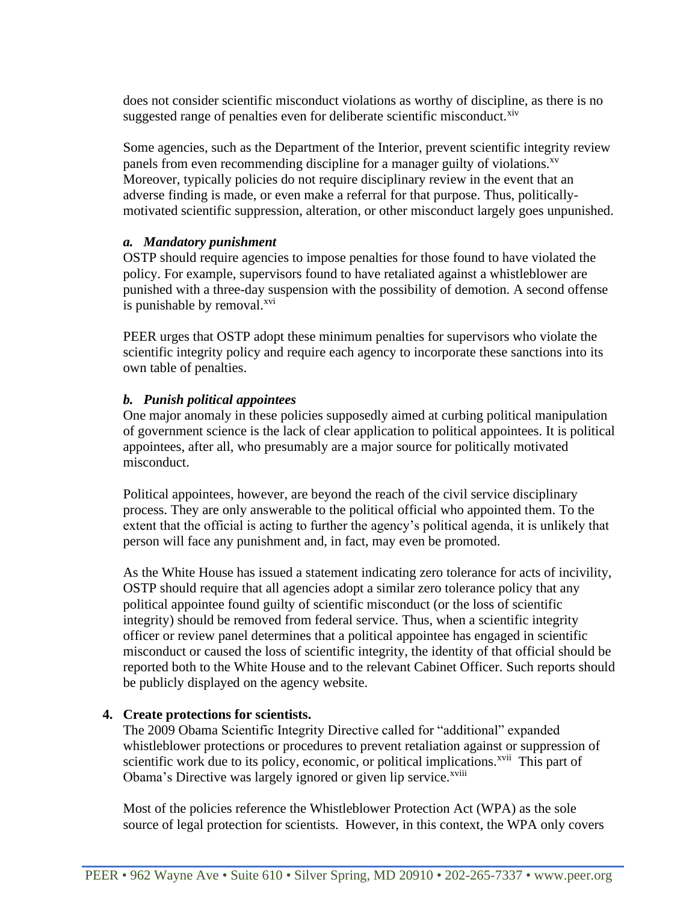does not consider scientific misconduct violations as worthy of discipline, as there is no suggested range of penalties even for deliberate scientific misconduct. ${}^{xiv}$ 

Some agencies, such as the Department of the Interior, prevent scientific integrity review panels from even recommending discipline for a manager guilty of violations.<sup>xv</sup> Moreover, typically policies do not require disciplinary review in the event that an adverse finding is made, or even make a referral for that purpose. Thus, politicallymotivated scientific suppression, alteration, or other misconduct largely goes unpunished.

## *a. Mandatory punishment*

OSTP should require agencies to impose penalties for those found to have violated the policy. For example, supervisors found to have retaliated against a whistleblower are punished with a three-day suspension with the possibility of demotion. A second offense is punishable by removal.<sup>xvi</sup>

PEER urges that OSTP adopt these minimum penalties for supervisors who violate the scientific integrity policy and require each agency to incorporate these sanctions into its own table of penalties.

# *b. Punish political appointees*

One major anomaly in these policies supposedly aimed at curbing political manipulation of government science is the lack of clear application to political appointees. It is political appointees, after all, who presumably are a major source for politically motivated misconduct.

Political appointees, however, are beyond the reach of the civil service disciplinary process. They are only answerable to the political official who appointed them. To the extent that the official is acting to further the agency's political agenda, it is unlikely that person will face any punishment and, in fact, may even be promoted.

As the White House has issued a statement indicating zero tolerance for acts of incivility, OSTP should require that all agencies adopt a similar zero tolerance policy that any political appointee found guilty of scientific misconduct (or the loss of scientific integrity) should be removed from federal service. Thus, when a scientific integrity officer or review panel determines that a political appointee has engaged in scientific misconduct or caused the loss of scientific integrity, the identity of that official should be reported both to the White House and to the relevant Cabinet Officer. Such reports should be publicly displayed on the agency website.

# **4. Create protections for scientists.**

The 2009 Obama Scientific Integrity Directive called for "additional" expanded whistleblower protections or procedures to prevent retaliation against or suppression of scientific work due to its policy, economic, or political implications.<sup>xvii</sup> This part of Obama's Directive was largely ignored or given lip service.<sup>xviii</sup>

Most of the policies reference the Whistleblower Protection Act (WPA) as the sole source of legal protection for scientists. However, in this context, the WPA only covers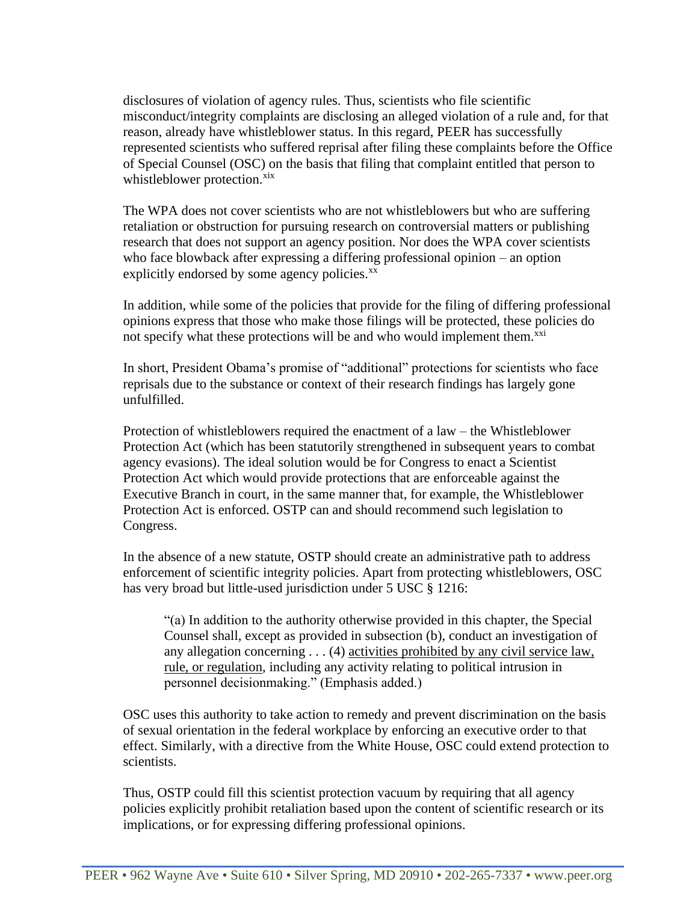disclosures of violation of agency rules. Thus, scientists who file scientific misconduct/integrity complaints are disclosing an alleged violation of a rule and, for that reason, already have whistleblower status. In this regard, PEER has successfully represented scientists who suffered reprisal after filing these complaints before the Office of Special Counsel (OSC) on the basis that filing that complaint entitled that person to whistleblower protection.<sup>xix</sup>

The WPA does not cover scientists who are not whistleblowers but who are suffering retaliation or obstruction for pursuing research on controversial matters or publishing research that does not support an agency position. Nor does the WPA cover scientists who face blowback after expressing a differing professional opinion – an option explicitly endorsed by some agency policies.<sup>xx</sup>

In addition, while some of the policies that provide for the filing of differing professional opinions express that those who make those filings will be protected, these policies do not specify what these protections will be and who would implement them.<sup>xxi</sup>

In short, President Obama's promise of "additional" protections for scientists who face reprisals due to the substance or context of their research findings has largely gone unfulfilled.

Protection of whistleblowers required the enactment of a law – the Whistleblower Protection Act (which has been statutorily strengthened in subsequent years to combat agency evasions). The ideal solution would be for Congress to enact a Scientist Protection Act which would provide protections that are enforceable against the Executive Branch in court, in the same manner that, for example, the Whistleblower Protection Act is enforced. OSTP can and should recommend such legislation to Congress.

In the absence of a new statute, OSTP should create an administrative path to address enforcement of scientific integrity policies. Apart from protecting whistleblowers, OSC has very broad but little-used jurisdiction under 5 USC § 1216:

"(a) In addition to the authority otherwise provided in this chapter, the Special Counsel shall, except as provided in subsection (b), conduct an investigation of any allegation concerning . . . (4) activities prohibited by any civil service law, rule, or regulation, including any activity relating to political intrusion in personnel decisionmaking." (Emphasis added.)

OSC uses this authority to take action to remedy and prevent discrimination on the basis of sexual orientation in the federal workplace by enforcing an executive order to that effect. Similarly, with a directive from the White House, OSC could extend protection to scientists.

Thus, OSTP could fill this scientist protection vacuum by requiring that all agency policies explicitly prohibit retaliation based upon the content of scientific research or its implications, or for expressing differing professional opinions.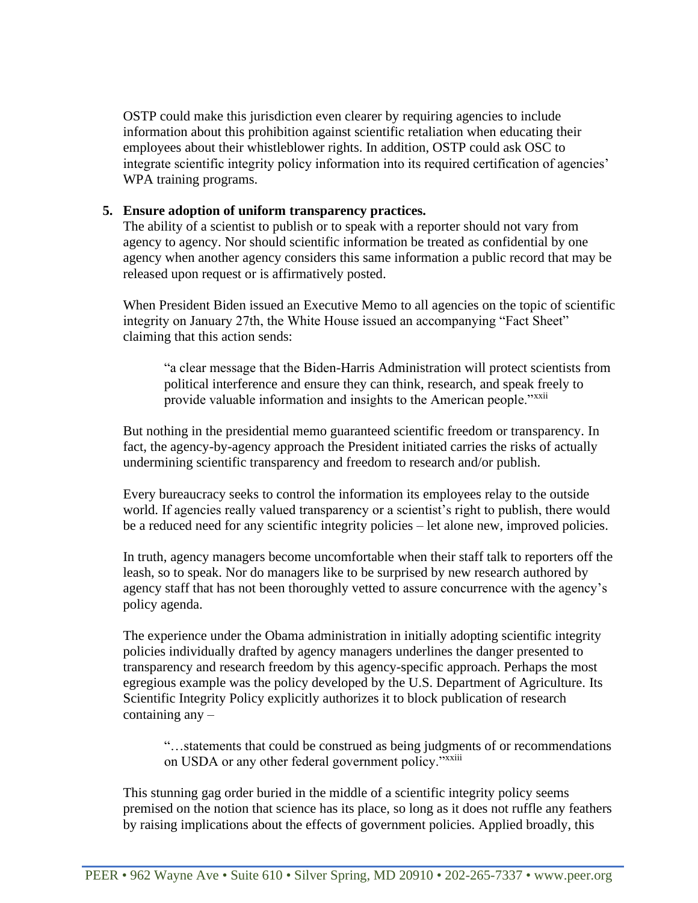OSTP could make this jurisdiction even clearer by requiring agencies to include information about this prohibition against scientific retaliation when educating their employees about their whistleblower rights. In addition, OSTP could ask OSC to integrate scientific integrity policy information into its required certification of agencies' WPA training programs.

## **5. Ensure adoption of uniform transparency practices.**

The ability of a scientist to publish or to speak with a reporter should not vary from agency to agency. Nor should scientific information be treated as confidential by one agency when another agency considers this same information a public record that may be released upon request or is affirmatively posted.

When President Biden issued an Executive Memo to all agencies on the topic of scientific integrity on January 27th, the White House issued an accompanying "Fact Sheet" claiming that this action sends:

"a clear message that the Biden-Harris Administration will protect scientists from political interference and ensure they can think, research, and speak freely to provide valuable information and insights to the American people."<sup>xxii</sup>

But nothing in the presidential memo guaranteed scientific freedom or transparency. In fact, the agency-by-agency approach the President initiated carries the risks of actually undermining scientific transparency and freedom to research and/or publish.

Every bureaucracy seeks to control the information its employees relay to the outside world. If agencies really valued transparency or a scientist's right to publish, there would be a reduced need for any scientific integrity policies – let alone new, improved policies.

In truth, agency managers become uncomfortable when their staff talk to reporters off the leash, so to speak. Nor do managers like to be surprised by new research authored by agency staff that has not been thoroughly vetted to assure concurrence with the agency's policy agenda.

The experience under the Obama administration in initially adopting scientific integrity policies individually drafted by agency managers underlines the danger presented to transparency and research freedom by this agency-specific approach. Perhaps the most egregious example was the policy developed by the U.S. Department of Agriculture. Its Scientific Integrity Policy explicitly authorizes it to block publication of research containing any –

"…statements that could be construed as being judgments of or recommendations on USDA or any other federal government policy."<sup>xxiii</sup>

This stunning gag order buried in the middle of a scientific integrity policy seems premised on the notion that science has its place, so long as it does not ruffle any feathers by raising implications about the effects of government policies. Applied broadly, this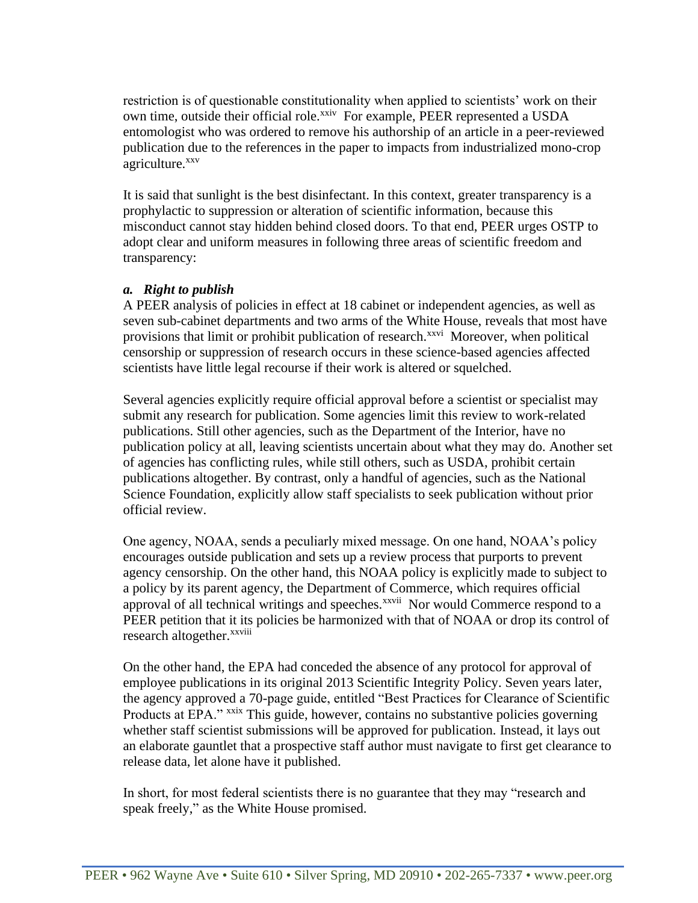restriction is of questionable constitutionality when applied to scientists' work on their own time, outside their official role.<sup>xxiv</sup> For example, PEER represented a USDA entomologist who was ordered to remove his authorship of an article in a peer-reviewed publication due to the references in the paper to impacts from industrialized mono-crop agriculture.<sup>xxv</sup>

It is said that sunlight is the best disinfectant. In this context, greater transparency is a prophylactic to suppression or alteration of scientific information, because this misconduct cannot stay hidden behind closed doors. To that end, PEER urges OSTP to adopt clear and uniform measures in following three areas of scientific freedom and transparency:

# *a. Right to publish*

A PEER analysis of policies in effect at 18 cabinet or independent agencies, as well as seven sub-cabinet departments and two arms of the White House, reveals that most have provisions that limit or prohibit publication of research.<sup>xxvi</sup> Moreover, when political censorship or suppression of research occurs in these science-based agencies affected scientists have little legal recourse if their work is altered or squelched.

Several agencies explicitly require official approval before a scientist or specialist may submit any research for publication. Some agencies limit this review to work-related publications. Still other agencies, such as the Department of the Interior, have no publication policy at all, leaving scientists uncertain about what they may do. Another set of agencies has conflicting rules, while still others, such as USDA, prohibit certain publications altogether. By contrast, only a handful of agencies, such as the National Science Foundation, explicitly allow staff specialists to seek publication without prior official review.

One agency, NOAA, sends a peculiarly mixed message. On one hand, NOAA's policy encourages outside publication and sets up a review process that purports to prevent agency censorship. On the other hand, this NOAA policy is explicitly made to subject to a policy by its parent agency, the Department of Commerce, which requires official approval of all technical writings and speeches.<sup>xxvii</sup> Nor would Commerce respond to a PEER petition that it its policies be harmonized with that of NOAA or drop its control of research altogether.<sup>xxviii</sup>

On the other hand, the EPA had conceded the absence of any protocol for approval of employee publications in its original 2013 Scientific Integrity Policy. Seven years later, the agency approved a 70-page guide, entitled "Best Practices for Clearance of Scientific Products at EPA." xxix This guide, however, contains no substantive policies governing whether staff scientist submissions will be approved for publication. Instead, it lays out an elaborate gauntlet that a prospective staff author must navigate to first get clearance to release data, let alone have it published.

In short, for most federal scientists there is no guarantee that they may "research and speak freely," as the White House promised.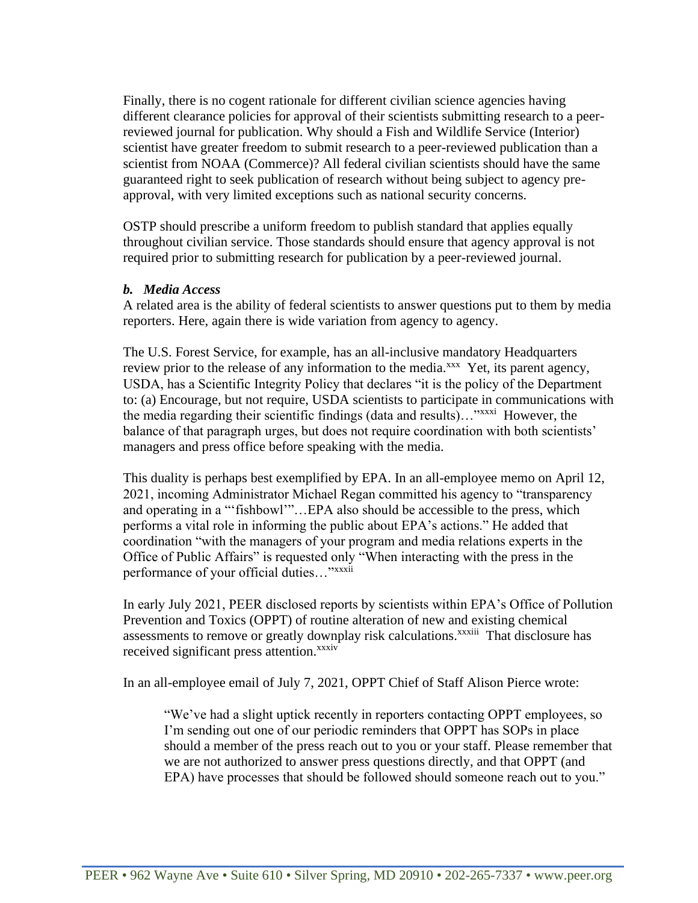Finally, there is no cogent rationale for different civilian science agencies having different clearance policies for approval of their scientists submitting research to a peerreviewed journal for publication. Why should a Fish and Wildlife Service (Interior) scientist have greater freedom to submit research to a peer-reviewed publication than a scientist from NOAA (Commerce)? All federal civilian scientists should have the same guaranteed right to seek publication of research without being subject to agency preapproval, with very limited exceptions such as national security concerns.

OSTP should prescribe a uniform freedom to publish standard that applies equally throughout civilian service. Those standards should ensure that agency approval is not required prior to submitting research for publication by a peer-reviewed journal.

### *b. Media Access*

A related area is the ability of federal scientists to answer questions put to them by media reporters. Here, again there is wide variation from agency to agency.

The U.S. Forest Service, for example, has an all-inclusive mandatory Headquarters review prior to the release of any information to the media.<sup>xxx</sup> Yet, its parent agency, USDA, has a Scientific Integrity Policy that declares "it is the policy of the Department to: (a) Encourage, but not require, USDA scientists to participate in communications with the media regarding their scientific findings (data and results)..."<sup>xxxxi</sup> However, the balance of that paragraph urges, but does not require coordination with both scientists' managers and press office before speaking with the media.

This duality is perhaps best exemplified by EPA. In an all-employee memo on April 12, 2021, incoming Administrator Michael Regan committed his agency to "transparency and operating in a "'fishbowl'"…EPA also should be accessible to the press, which performs a vital role in informing the public about EPA's actions." He added that coordination "with the managers of your program and media relations experts in the Office of Public Affairs" is requested only "When interacting with the press in the performance of your official duties..."<sup>xxxii</sup>

In early July 2021, PEER disclosed reports by scientists within EPA's Office of Pollution Prevention and Toxics (OPPT) of routine alteration of new and existing chemical assessments to remove or greatly downplay risk calculations.<sup>xxxiii</sup> That disclosure has received significant press attention.<sup>xxxiv</sup>

In an all-employee email of July 7, 2021, OPPT Chief of Staff Alison Pierce wrote:

"We've had a slight uptick recently in reporters contacting OPPT employees, so I'm sending out one of our periodic reminders that OPPT has SOPs in place should a member of the press reach out to you or your staff. Please remember that we are not authorized to answer press questions directly, and that OPPT (and EPA) have processes that should be followed should someone reach out to you."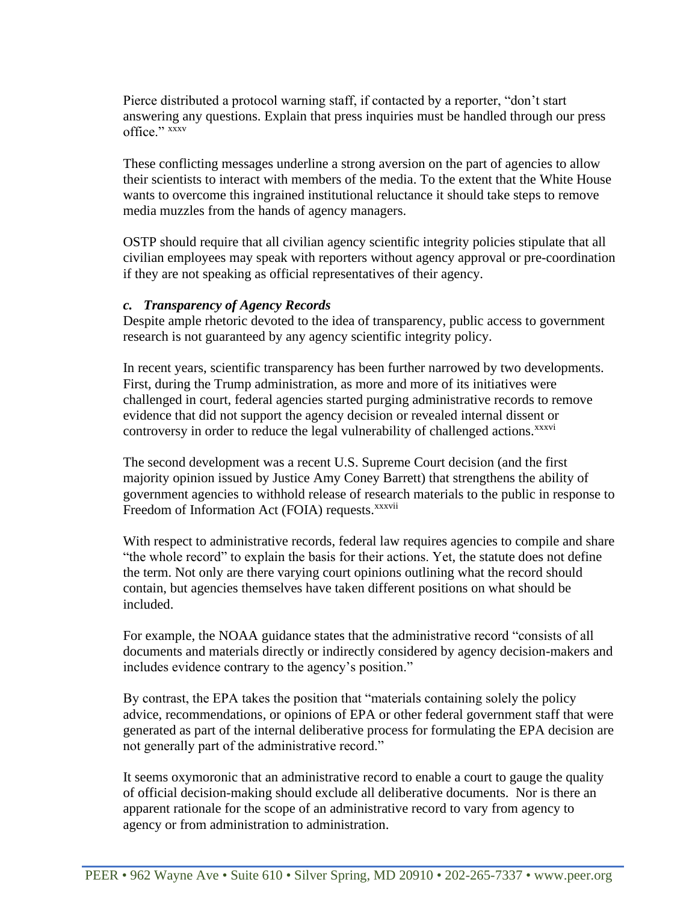Pierce distributed a protocol warning staff, if contacted by a reporter, "don't start answering any questions. Explain that press inquiries must be handled through our press office." xxxv

These conflicting messages underline a strong aversion on the part of agencies to allow their scientists to interact with members of the media. To the extent that the White House wants to overcome this ingrained institutional reluctance it should take steps to remove media muzzles from the hands of agency managers.

OSTP should require that all civilian agency scientific integrity policies stipulate that all civilian employees may speak with reporters without agency approval or pre-coordination if they are not speaking as official representatives of their agency.

## *c. Transparency of Agency Records*

Despite ample rhetoric devoted to the idea of transparency, public access to government research is not guaranteed by any agency scientific integrity policy.

In recent years, scientific transparency has been further narrowed by two developments. First, during the Trump administration, as more and more of its initiatives were challenged in court, federal agencies started purging administrative records to remove evidence that did not support the agency decision or revealed internal dissent or controversy in order to reduce the legal vulnerability of challenged actions.<sup>xxxvi</sup>

The second development was a recent U.S. Supreme Court decision (and the first majority opinion issued by Justice Amy Coney Barrett) that strengthens the ability of government agencies to withhold release of research materials to the public in response to Freedom of Information Act (FOIA) requests.<sup>xxxvii</sup>

With respect to administrative records, federal law requires agencies to compile and share "the whole record" to explain the basis for their actions. Yet, the statute does not define the term. Not only are there varying court opinions outlining what the record should contain, but agencies themselves have taken different positions on what should be included.

For example, the NOAA guidance states that the administrative record "consists of all documents and materials directly or indirectly considered by agency decision-makers and includes evidence contrary to the agency's position."

By contrast, the EPA takes the position that "materials containing solely the policy advice, recommendations, or opinions of EPA or other federal government staff that were generated as part of the internal deliberative process for formulating the EPA decision are not generally part of the administrative record."

It seems oxymoronic that an administrative record to enable a court to gauge the quality of official decision-making should exclude all deliberative documents. Nor is there an apparent rationale for the scope of an administrative record to vary from agency to agency or from administration to administration.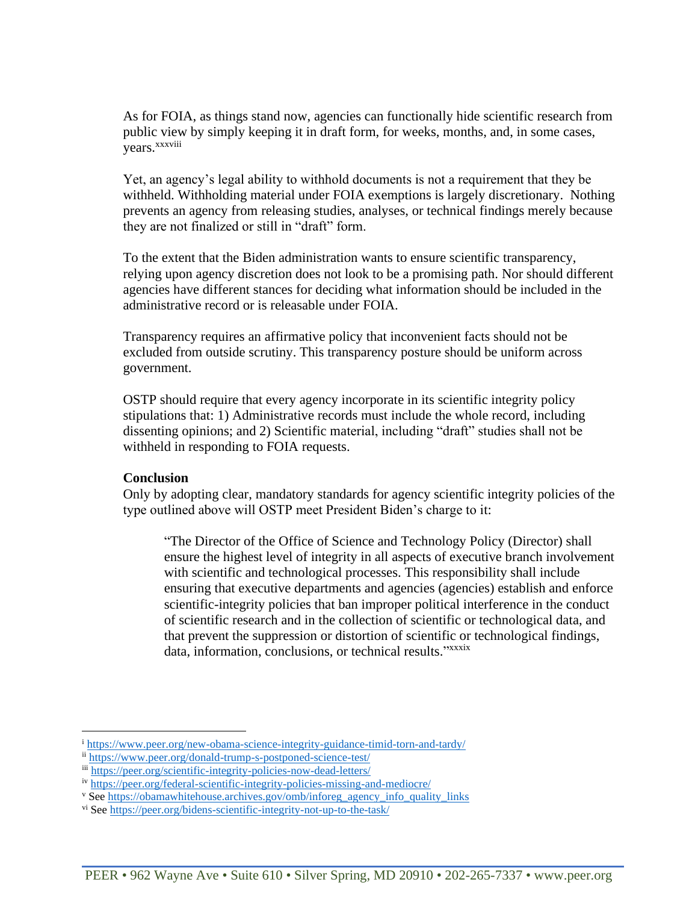As for FOIA, as things stand now, agencies can functionally hide scientific research from public view by simply keeping it in draft form, for weeks, months, and, in some cases, years.<sup>xxxviii</sup>

Yet, an agency's legal ability to withhold documents is not a requirement that they be withheld. Withholding material under FOIA exemptions is largely discretionary. Nothing prevents an agency from releasing studies, analyses, or technical findings merely because they are not finalized or still in "draft" form.

To the extent that the Biden administration wants to ensure scientific transparency, relying upon agency discretion does not look to be a promising path. Nor should different agencies have different stances for deciding what information should be included in the administrative record or is releasable under FOIA.

Transparency requires an affirmative policy that inconvenient facts should not be excluded from outside scrutiny. This transparency posture should be uniform across government.

OSTP should require that every agency incorporate in its scientific integrity policy stipulations that: 1) Administrative records must include the whole record, including dissenting opinions; and 2) Scientific material, including "draft" studies shall not be withheld in responding to FOIA requests.

#### **Conclusion**

Only by adopting clear, mandatory standards for agency scientific integrity policies of the type outlined above will OSTP meet President Biden's charge to it:

"The Director of the Office of Science and Technology Policy (Director) shall ensure the highest level of integrity in all aspects of executive branch involvement with scientific and technological processes. This responsibility shall include ensuring that executive departments and agencies (agencies) establish and enforce scientific-integrity policies that ban improper political interference in the conduct of scientific research and in the collection of scientific or technological data, and that prevent the suppression or distortion of scientific or technological findings, data, information, conclusions, or technical results."xxxix

<sup>i</sup> <https://www.peer.org/new-obama-science-integrity-guidance-timid-torn-and-tardy/>

ii <https://www.peer.org/donald-trump-s-postponed-science-test/>

iii <https://peer.org/scientific-integrity-policies-now-dead-letters/>

iv <https://peer.org/federal-scientific-integrity-policies-missing-and-mediocre/>

v Se[e https://obamawhitehouse.archives.gov/omb/inforeg\\_agency\\_info\\_quality\\_links](https://obamawhitehouse.archives.gov/omb/inforeg_agency_info_quality_links)

vi See<https://peer.org/bidens-scientific-integrity-not-up-to-the-task/>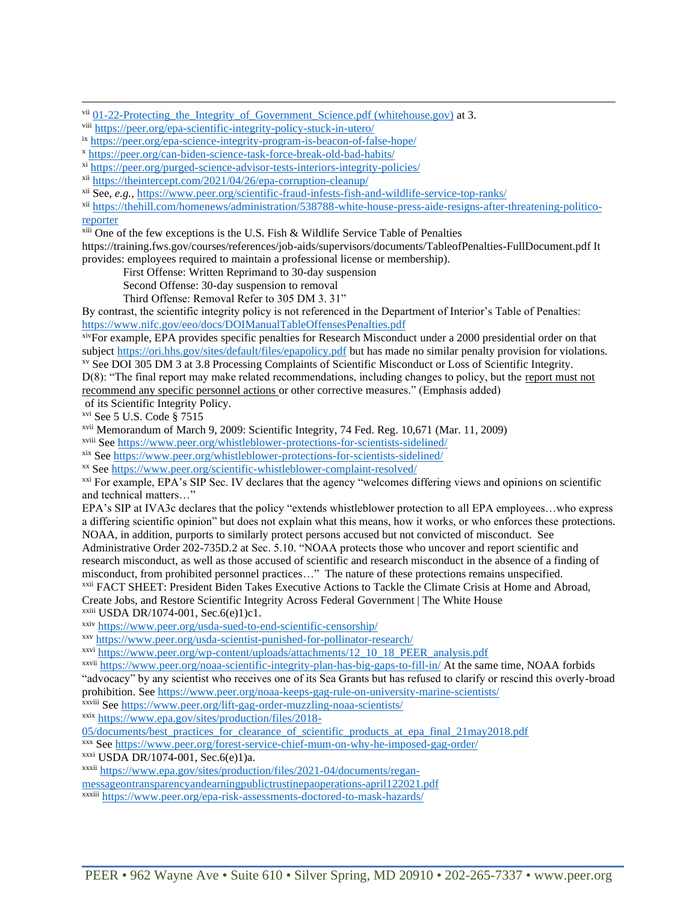vii 01-22-Protecting the Integrity of Government Science.pdf (whitehouse.gov) at 3.

viii <https://peer.org/epa-scientific-integrity-policy-stuck-in-utero/>

ix <https://peer.org/epa-science-integrity-program-is-beacon-of-false-hope/>

<sup>x</sup> <https://peer.org/can-biden-science-task-force-break-old-bad-habits/>

xi <https://peer.org/purged-science-advisor-tests-interiors-integrity-policies/>

xii <https://theintercept.com/2021/04/26/epa-corruption-cleanup/>

xii See, *e.g.*,<https://www.peer.org/scientific-fraud-infests-fish-and-wildlife-service-top-ranks/>

xii [https://thehill.com/homenews/administration/538788-white-house-press-aide-resigns-after-threatening-politico](https://thehill.com/homenews/administration/538788-white-house-press-aide-resigns-after-threatening-politico-reporter)[reporter](https://thehill.com/homenews/administration/538788-white-house-press-aide-resigns-after-threatening-politico-reporter)

 $x^{111}$  One of the few exceptions is the U.S. Fish & Wildlife Service Table of Penalties

https://training.fws.gov/courses/references/job-aids/supervisors/documents/TableofPenalties-FullDocument.pdf It provides: employees required to maintain a professional license or membership).

First Offense: Written Reprimand to 30-day suspension

Second Offense: 30-day suspension to removal

Third Offense: Removal Refer to 305 DM 3. 31"

By contrast, the scientific integrity policy is not referenced in the Department of Interior's Table of Penalties: <https://www.nifc.gov/eeo/docs/DOIManualTableOffensesPenalties.pdf>

xivFor example, EPA provides specific penalties for Research Misconduct under a 2000 presidential order on that subject<https://ori.hhs.gov/sites/default/files/epapolicy.pdf> but has made no similar penalty provision for violations. xv See DOI 305 DM 3 at 3.8 Processing Complaints of Scientific Misconduct or Loss of Scientific Integrity.

D(8): "The final report may make related recommendations, including changes to policy, but the report must not recommend any specific personnel actions or other corrective measures." (Emphasis added)

of its Scientific Integrity Policy.

xvi See 5 U.S. Code § 7515

xvii Memorandum of March 9, 2009: Scientific Integrity, 74 Fed. Reg. 10,671 (Mar. 11, 2009)

xviii See<https://www.peer.org/whistleblower-protections-for-scientists-sidelined/>

xix Se[e https://www.peer.org/whistleblower-protections-for-scientists-sidelined/](https://www.peer.org/whistleblower-protections-for-scientists-sidelined/)

xx See<https://www.peer.org/scientific-whistleblower-complaint-resolved/>

xxi For example, EPA's SIP Sec. IV declares that the agency "welcomes differing views and opinions on scientific and technical matters…"

EPA's SIP at IVA3c declares that the policy "extends whistleblower protection to all EPA employees…who express a differing scientific opinion" but does not explain what this means, how it works, or who enforces these protections. NOAA, in addition, purports to similarly protect persons accused but not convicted of misconduct. See

Administrative Order 202-735D.2 at Sec. 5.10. "NOAA protects those who uncover and report scientific and research misconduct, as well as those accused of scientific and research misconduct in the absence of a finding of misconduct, from prohibited personnel practices…" The nature of these protections remains unspecified.

xxii FACT SHEET: President Biden Takes Executive Actions to Tackle the Climate Crisis at Home and Abroad, Create Jobs, and Restore Scientific Integrity Across Federal Government | The White House

 $x$ <sup>xxiii</sup> USDA DR/1074-001, Sec.6(e)1)c1.

xxiv <https://www.peer.org/usda-sued-to-end-scientific-censorship/>

xxv <https://www.peer.org/usda-scientist-punished-for-pollinator-research/>

xxvi [https://www.peer.org/wp-content/uploads/attachments/12\\_10\\_18\\_PEER\\_analysis.pdf](https://www.peer.org/wp-content/uploads/attachments/12_10_18_PEER_analysis.pdf)

xxvii <https://www.peer.org/noaa-scientific-integrity-plan-has-big-gaps-to-fill-in/> At the same time, NOAA forbids "advocacy" by any scientist who receives one of its Sea Grants but has refused to clarify or rescind this overly-broad prohibition. See<https://www.peer.org/noaa-keeps-gag-rule-on-university-marine-scientists/>

xxviii Se[e https://www.peer.org/lift-gag-order-muzzling-noaa-scientists/](https://www.peer.org/lift-gag-order-muzzling-noaa-scientists/)

xxix [https://www.epa.gov/sites/production/files/2018-](https://www.epa.gov/sites/production/files/2018-05/documents/best_practices_for_clearance_of_scientific_products_at_epa_final_21may2018.pdf)

[05/documents/best\\_practices\\_for\\_clearance\\_of\\_scientific\\_products\\_at\\_epa\\_final\\_21may2018.pdf](https://www.epa.gov/sites/production/files/2018-05/documents/best_practices_for_clearance_of_scientific_products_at_epa_final_21may2018.pdf)

xxx See<https://www.peer.org/forest-service-chief-mum-on-why-he-imposed-gag-order/>

xxxi USDA DR/1074-001, Sec.6(e)1)a.

xxxii [https://www.epa.gov/sites/production/files/2021-04/documents/regan](https://www.epa.gov/sites/production/files/2021-04/documents/regan-messageontransparencyandearningpublictrustinepaoperations-april122021.pdf)[messageontransparencyandearningpublictrustinepaoperations-april122021.pdf](https://www.epa.gov/sites/production/files/2021-04/documents/regan-messageontransparencyandearningpublictrustinepaoperations-april122021.pdf)

xxxiii <https://www.peer.org/epa-risk-assessments-doctored-to-mask-hazards/>